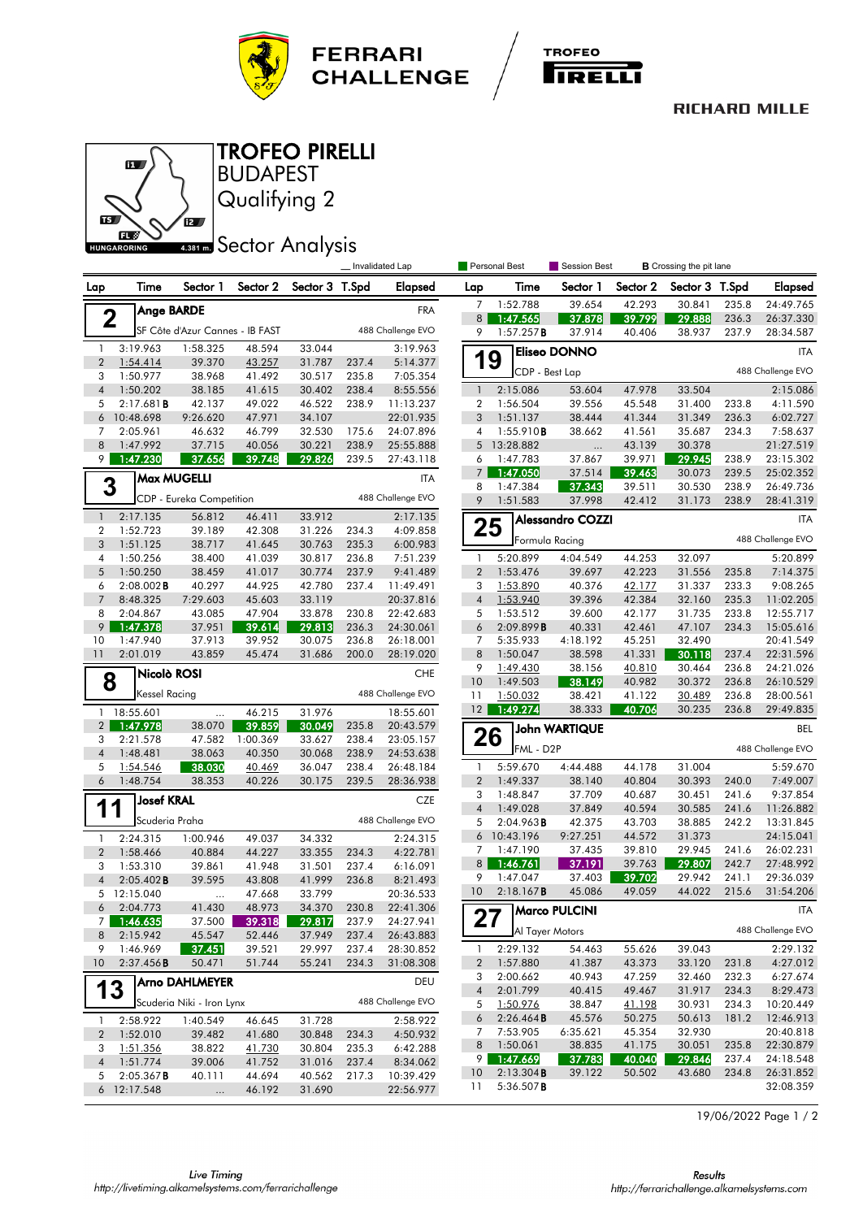



## **RICHARD MILLE**



Qualifying 2 **BUDAPEST** TROFEO PIRELLI

## **ABB1 mm** Sector Analysis

|                     |                                 | Invalidated Lap                 |                    |                  |                |                        | Personal Best                  | Session Best          |                         | <b>B</b> Crossing the pit lane |                  |                |                        |
|---------------------|---------------------------------|---------------------------------|--------------------|------------------|----------------|------------------------|--------------------------------|-----------------------|-------------------------|--------------------------------|------------------|----------------|------------------------|
| Lap                 | Time                            | Sector 1                        | Sector 2           | Sector 3 T.Spd   |                | <b>Elapsed</b>         | Lap                            | Time                  | Sector 1                | Sector 2                       | Sector 3 T.Spd   |                | <b>Elapsed</b>         |
|                     | <b>Ange BARDE</b>               |                                 |                    |                  |                | <b>FRA</b>             | 7                              | 1:52.788              | 39.654                  | 42.293                         | 30.841           | 235.8          | 24:49.765              |
| $\mathbf 2$         |                                 |                                 |                    |                  |                |                        | 8                              | 1:47.565              | 37.878                  | 39.799                         | 29.888           | 236.3          | 26:37.330              |
|                     |                                 | SF Côte d'Azur Cannes - IB FAST |                    |                  |                | 488 Challenge EVO      | 9                              | 1:57.257B             | 37.914                  | 40.406                         | 38.937           | 237.9          | 28:34.587              |
| $\mathbf{1}$        | 3:19.963                        | 1:58.325                        | 48.594             | 33.044           |                | 3:19.963               |                                |                       | <b>Eliseo DONNO</b>     |                                |                  |                | <b>ITA</b>             |
| $\overline{2}$      | 1:54.414                        | 39.370                          | 43.257             | 31.787           | 237.4          | 5:14.377               | 19                             | CDP - Best Lap        |                         |                                |                  |                | 488 Challenge EVO      |
| 3                   | 1:50.977                        | 38.968                          | 41.492             | 30.517           | 235.8          | 7:05.354               |                                |                       |                         |                                |                  |                |                        |
| $\overline{4}$      | 1:50.202                        | 38.185                          | 41.615             | 30.402           | 238.4          | 8:55.556               | $\mathbf{1}$                   | 2:15.086              | 53.604                  | 47.978                         | 33.504           |                | 2:15.086               |
| 5<br>6              | 2:17.681B<br>10:48.698          | 42.137<br>9:26.620              | 49.022<br>47.971   | 46.522<br>34.107 | 238.9          | 11:13.237<br>22:01.935 | 2<br>3                         | 1:56.504<br>1:51.137  | 39.556<br>38.444        | 45.548<br>41.344               | 31.400<br>31.349 | 233.8<br>236.3 | 4:11.590<br>6:02.727   |
| 7                   | 2:05.961                        | 46.632                          | 46.799             | 32.530           | 175.6          | 24:07.896              | 4                              | 1:55.910B             | 38.662                  | 41.561                         | 35.687           | 234.3          | 7:58.637               |
| 8                   | 1:47.992                        | 37.715                          | 40.056             | 30.221           | 238.9          | 25:55.888              |                                | 5 13:28.882           | $\cdots$                | 43.139                         | 30.378           |                | 21:27.519              |
| 9                   | 1:47.230                        | 37.656                          | 39.748             | 29.826           | 239.5          | 27:43.118              | 6                              | 1:47.783              | 37.867                  | 39.971                         | 29.945           | 238.9          | 23:15.302              |
|                     |                                 | <b>Max MUGELLI</b>              |                    |                  |                | ITA                    | 7 <sup>1</sup>                 | 1:47.050              | 37.514                  | 39.463                         | 30.073           | 239.5          | 25:02.352              |
| 3                   |                                 |                                 |                    |                  |                |                        | 8                              | 1:47.384              | 37.343                  | 39.511                         | 30.530           | 238.9          | 26:49.736              |
|                     |                                 | CDP - Eureka Competition        |                    |                  |                | 488 Challenge EVO      | 9                              | 1:51.583              | 37.998                  | 42.412                         | 31.173           | 238.9          | 28:41.319              |
| $\mathbf{1}$        | 2:17.135                        | 56.812                          | 46.411             | 33.912           |                | 2:17.135               |                                |                       | <b>Alessandro COZZI</b> |                                |                  |                | <b>ITA</b>             |
| $\overline{2}$      | 1:52.723                        | 39.189                          | 42.308             | 31.226           | 234.3          | 4:09.858               | 25                             | Formula Racing        |                         |                                |                  |                | 488 Challenge EVO      |
| 3                   | 1:51.125                        | 38.717                          | 41.645             | 30.763           | 235.3          | 6:00.983               |                                |                       |                         |                                |                  |                |                        |
| $\overline{4}$<br>5 | 1:50.256<br>1:50.250            | 38.400<br>38.459                | 41.039<br>41.017   | 30.817<br>30.774 | 236.8<br>237.9 | 7:51.239<br>9:41.489   | $\mathbf{1}$<br>$\overline{2}$ | 5:20.899<br>1:53.476  | 4:04.549<br>39.697      | 44.253<br>42.223               | 32.097<br>31.556 |                | 5:20.899<br>7:14.375   |
| 6                   | $2:08.002$ <b>B</b>             | 40.297                          | 44.925             | 42.780           | 237.4          | 11:49.491              | 3                              | 1:53.890              | 40.376                  | 42.177                         | 31.337           | 235.8<br>233.3 | 9:08.265               |
| $\overline{7}$      | 8:48.325                        | 7:29.603                        | 45.603             | 33.119           |                | 20:37.816              | $\overline{4}$                 | 1:53.940              | 39.396                  | 42.384                         | 32.160           | 235.3          | 11:02.205              |
| 8                   | 2:04.867                        | 43.085                          | 47.904             | 33.878           | 230.8          | 22:42.683              | 5                              | 1:53.512              | 39.600                  | 42.177                         | 31.735           | 233.8          | 12:55.717              |
| 9                   | 1:47.378                        | 37.951                          | 39.614             | 29.813           | 236.3          | 24:30.061              | 6                              | 2:09.899B             | 40.331                  | 42.461                         | 47.107           | 234.3          | 15:05.616              |
| 10                  | 1:47.940                        | 37.913                          | 39.952             | 30.075           | 236.8          | 26:18.001              | 7                              | 5:35.933              | 4:18.192                | 45.251                         | 32.490           |                | 20:41.549              |
| 11                  | 2:01.019                        | 43.859                          | 45.474             | 31.686           | 200.0          | 28:19.020              | 8                              | 1:50.047              | 38.598                  | 41.331                         | 30.118           | 237.4          | 22:31.596              |
|                     | Nicolò ROSI                     |                                 |                    |                  |                | <b>CHE</b>             | 9                              | 1:49.430              | 38.156                  | 40.810                         | 30.464           | 236.8          | 24:21.026              |
| 8                   | Kessel Racing                   |                                 |                    |                  |                | 488 Challenge EVO      | 10                             | 1:49.503              | 38.149                  | 40.982                         | 30.372           | 236.8          | 26:10.529              |
|                     |                                 |                                 |                    |                  |                |                        | 11<br>12                       | 1:50.032<br>1:49.274  | 38.421<br>38.333        | 41.122<br>40.706               | 30.489<br>30.235 | 236.8<br>236.8 | 28:00.561<br>29:49.835 |
|                     | 1 18:55.601                     | $\ldots$                        | 46.215             | 31.976           |                | 18:55.601              |                                |                       |                         |                                |                  |                |                        |
| $\overline{2}$<br>3 | 1:47.978<br>2:21.578            | 38.070<br>47.582                | 39.859<br>1:00.369 | 30.049<br>33.627 | 235.8<br>238.4 | 20:43.579<br>23:05.157 | 26                             |                       | <b>John WARTIQUE</b>    |                                |                  |                | <b>BEL</b>             |
| $\overline{4}$      | 1:48.481                        | 38.063                          | 40.350             | 30.068           | 238.9          | 24:53.638              |                                | FML - D2P             |                         |                                |                  |                | 488 Challenge EVO      |
| 5                   | 1:54.546                        | 38.030                          | 40.469             | 36.047           | 238.4          | 26:48.184              | 1                              | 5:59.670              | 4:44.488                | 44.178                         | 31.004           |                | 5:59.670               |
| $\boldsymbol{6}$    | 1:48.754                        | 38.353                          | 40.226             | 30.175           | 239.5          | 28:36.938              | $\overline{2}$                 | 1:49.337              | 38.140                  | 40.804                         | 30.393           | 240.0          | 7:49.007               |
|                     | <b>Josef KRAL</b>               |                                 |                    |                  |                | CZE                    | 3                              | 1:48.847              | 37.709                  | 40.687                         | 30.451           | 241.6          | 9:37.854               |
| 11                  |                                 |                                 |                    |                  |                |                        | $\overline{4}$                 | 1:49.028              | 37.849                  | 40.594                         | 30.585           | 241.6          | 11:26.882              |
|                     | Scuderia Praha                  |                                 |                    |                  |                | 488 Challenge EVO      | 5                              | 2:04.963B             | 42.375                  | 43.703                         | 38.885           | 242.2          | 13:31.845              |
| $\mathbf{1}$        | 2:24.315                        | 1:00.946                        | 49.037             | 34.332           |                | 2:24.315               | 6                              | 10:43.196             | 9:27.251                | 44.572                         | 31.373           |                | 24:15.041              |
| $\overline{2}$      | 1:58.466                        | 40.884                          | 44.227             | 33.355           | 234.3          | 4:22.781               | 7<br>8 <sup>1</sup>            | 1:47.190<br>1:46.761  | 37.435<br>37.191        | 39.810<br>39.763               | 29.945<br>29.807 | 241.6<br>242.7 | 26:02.231<br>27:48.992 |
| 3<br>$\overline{4}$ | 1:53.310<br>$2:05.402$ <b>B</b> | 39.861<br>39.595                | 41.948<br>43.808   | 31.501<br>41.999 | 237.4<br>236.8 | 6:16.091               | 9                              | 1:47.047              | 37.403                  | 39.702                         | 29.942           | 241.1          | 29:36.039              |
|                     | 5 12:15.040                     | $\ddotsc$                       | 47.668             | 33.799           |                | 8:21.493<br>20:36.533  | 10                             | 2:18.167B             | 45.086                  | 49.059                         | 44.022           | 215.6          | 31:54.206              |
| 6                   | 2:04.773                        | 41.430                          | 48.973             | 34.370           | 230.8          | 22:41.306              |                                | A Marco PULCINI       |                         |                                |                  |                | ITA                    |
| 7                   | 1:46.635                        | 37.500                          | 39.318             | 29.817           | 237.9          | 24:27.941              | 27                             |                       |                         |                                |                  |                |                        |
| 8                   | 2:15.942                        | 45.547                          | 52.446             | 37.949           | 237.4          | 26:43.883              |                                | Al Tayer Motors       |                         |                                |                  |                | 488 Challenge EVO      |
| 9                   | 1:46.969                        | 37.451                          | 39.521             | 29.997           | 237.4          | 28:30.852              | 1                              | 2:29.132              | 54.463                  | 55.626                         | 39.043           |                | 2:29.132               |
| 10                  | 2:37.456B                       | 50.471                          | 51.744             | 55.241           | 234.3          | 31:08.308              | 2                              | 1:57.880              | 41.387                  | 43.373                         | 33.120           | 231.8          | 4:27.012               |
|                     |                                 | <b>Arno DAHLMEYER</b>           |                    |                  |                | DEU                    | 3                              | 2:00.662              | 40.943                  | 47.259                         | 32.460           | 232.3          | 6:27.674               |
| 13                  |                                 |                                 |                    |                  |                | 488 Challenge EVO      | $\overline{4}$                 | 2:01.799              | 40.415                  | 49.467                         | 31.917           | 234.3          | 8:29.473               |
|                     |                                 | Scuderia Niki - Iron Lynx       |                    |                  |                |                        | 5<br>6                         | 1:50.976<br>2:26.464B | 38.847<br>45.576        | <u>41.198</u><br>50.275        | 30.931<br>50.613 | 234.3<br>181.2 | 10:20.449<br>12:46.913 |
| $\mathbf{1}$        | 2:58.922                        | 1:40.549                        | 46.645             | 31.728           |                | 2:58.922               | 7                              | 7:53.905              | 6:35.621                | 45.354                         | 32.930           |                | 20:40.818              |
| $\overline{2}$<br>3 | 1:52.010<br>1:51.356            | 39.482<br>38.822                | 41.680<br>41.730   | 30.848<br>30.804 | 234.3<br>235.3 | 4:50.932<br>6:42.288   | 8                              | 1:50.061              | 38.835                  | 41.175                         | 30.051           | 235.8          | 22:30.879              |
| $\overline{4}$      | 1:51.774                        | 39.006                          | 41.752             | 31.016           | 237.4          | 8:34.062               | 9                              | 1:47.669              | 37.783                  | 40.040                         | 29.846           | 237.4          | 24:18.548              |
| 5                   | 2:05.367B                       | 40.111                          | 44.694             | 40.562           | 217.3          | 10:39.429              | 10                             | 2:13.304B             | 39.122                  | 50.502                         | 43.680           | 234.8          | 26:31.852              |
|                     | 6 12:17.548                     | $\cdots$                        | 46.192             | 31.690           |                | 22:56.977              | 11                             | 5:36.507B             |                         |                                |                  |                | 32:08.359              |
|                     |                                 |                                 |                    |                  |                |                        |                                |                       |                         |                                |                  |                |                        |

19/06/2022 Page 1 / 2